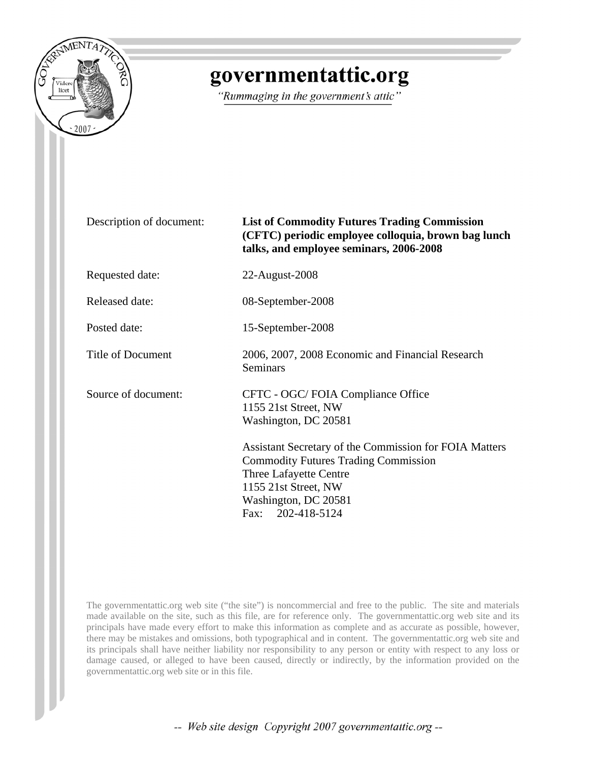

## governmentattic.org

"Rummaging in the government's attic"

Description of document: **List of Commodity Futures Trading Commission (CFTC) periodic employee colloquia, brown bag lunch talks, and employee seminars, 2006-2008** Requested date: 22-August-2008 Released date: 08-September-2008 Posted date: 15-September-2008 Title of Document 2006, 2007, 2008 Economic and Financial Research **Seminars** Source of document: CFTC - OGC/ FOIA Compliance Office 1155 21st Street, NW Washington, DC 20581 Assistant Secretary of the Commission for FOIA Matters Commodity Futures Trading Commission Three Lafayette Centre 1155 21st Street, NW Washington, DC 20581 Fax: 202-418-5124

The governmentattic.org web site ("the site") is noncommercial and free to the public. The site and materials made available on the site, such as this file, are for reference only. The governmentattic.org web site and its principals have made every effort to make this information as complete and as accurate as possible, however, there may be mistakes and omissions, both typographical and in content. The governmentattic.org web site and its principals shall have neither liability nor responsibility to any person or entity with respect to any loss or damage caused, or alleged to have been caused, directly or indirectly, by the information provided on the governmentattic.org web site or in this file.

-- Web site design Copyright 2007 governmentattic.org --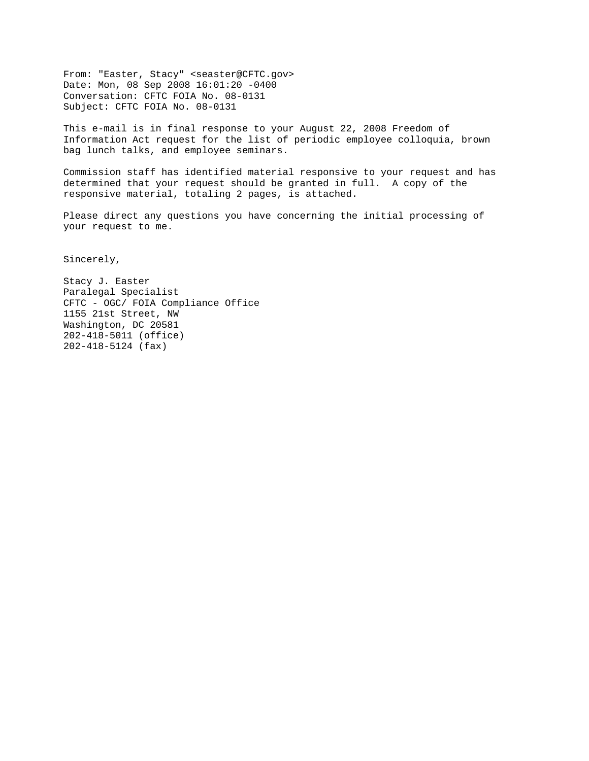From: "Easter, Stacy" <seaster@CFTC.gov> Date: Mon, 08 Sep 2008 16:01:20 -0400 Conversation: CFTC FOIA No. 08-0131 Subject: CFTC FOIA No. 08-0131

This e-mail is in final response to your August 22, 2008 Freedom of Information Act request for the list of periodic employee colloquia, brown bag lunch talks, and employee seminars.

Commission staff has identified material responsive to your request and has determined that your request should be granted in full. A copy of the responsive material, totaling 2 pages, is attached.

Please direct any questions you have concerning the initial processing of your request to me.

Sincerely,

Stacy J. Easter Paralegal Specialist CFTC - OGC/ FOIA Compliance Office 1155 21st Street, NW Washington, DC 20581 202-418-5011 (office) 202-418-5124 (fax)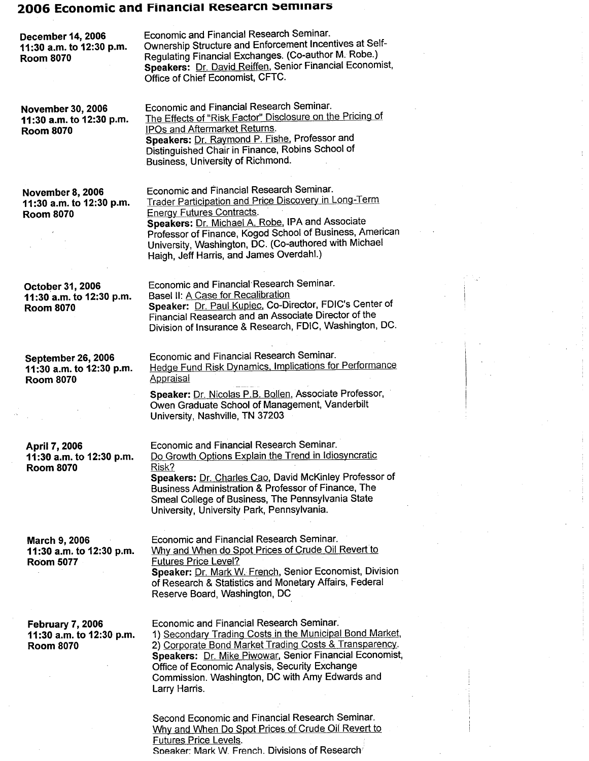## 2006 Economic and Financial Researcn seminars

| <b>December 14, 2006</b><br>11:30 a.m. to 12:30 p.m.<br><b>Room 8070</b> | Economic and Financial Research Seminar.<br>Ownership Structure and Enforcement Incentives at Self-<br>Regulating Financial Exchanges. (Co-author M. Robe.)<br>Speakers: Dr. David Reiffen, Senior Financial Economist,<br>Office of Chief Economist, CFTC.                                                                                                |
|--------------------------------------------------------------------------|------------------------------------------------------------------------------------------------------------------------------------------------------------------------------------------------------------------------------------------------------------------------------------------------------------------------------------------------------------|
| <b>November 30, 2006</b><br>11:30 a.m. to 12:30 p.m.<br><b>Room 8070</b> | Economic and Financial Research Seminar.<br>The Effects of "Risk Factor" Disclosure on the Pricing of<br>IPOs and Aftermarket Returns.<br>Speakers: Dr. Raymond P. Fishe, Professor and<br>Distinguished Chair in Finance, Robins School of<br>Business, University of Richmond.                                                                           |
| <b>November 8, 2006</b><br>11:30 a.m. to 12:30 p.m.<br><b>Room 8070</b>  | Economic and Financial Research Seminar.<br>Trader Participation and Price Discovery in Long-Term<br><b>Energy Futures Contracts.</b><br>Speakers: Dr. Michael A. Robe, IPA and Associate<br>Professor of Finance, Kogod School of Business, American<br>University, Washington, DC. (Co-authored with Michael<br>Haigh, Jeff Harris, and James Overdahl.) |
| October 31, 2006<br>11:30 a.m. to 12:30 p.m.<br><b>Room 8070</b>         | Economic and Financial Research Seminar.<br>Basel II: A Case for Recalibration<br>Speaker: Dr. Paul Kupiec, Co-Director, FDIC's Center of<br>Financial Reasearch and an Associate Director of the<br>Division of Insurance & Research, FDIC, Washington, DC.                                                                                               |
| September 26, 2006<br>11:30 a.m. to 12:30 p.m.<br><b>Room 8070</b>       | Economic and Financial Research Seminar.<br><b>Hedge Fund Risk Dynamics, Implications for Performance</b><br><b>Appraisal</b><br>Speaker: Dr. Nicolas P.B. Bollen, Associate Professor,<br>Owen Graduate School of Management, Vanderbilt<br>University, Nashville, TN 37203                                                                               |
| April 7, 2006<br>11:30 a.m. to 12:30 p.m.<br><b>Room 8070</b>            | Economic and Financial Research Seminar.<br>Do Growth Options Explain the Trend in Idiosyncratic<br>Risk?<br>Speakers: Dr. Charles Cao, David McKinley Professor of<br>Business Administration & Professor of Finance, The<br>Smeal College of Business, The Pennsylvania State<br>University, University Park, Pennsylvania.                              |
| <b>March 9, 2006</b><br>11:30 a.m. to 12:30 p.m.<br><b>Room 5077</b>     | Economic and Financial Research Seminar.<br>Why and When do Spot Prices of Crude Oil Revert to<br><b>Futures Price Level?</b><br>Speaker: Dr. Mark W. French, Senior Economist, Division<br>of Research & Statistics and Monetary Affairs, Federal<br>Reserve Board, Washington, DC                                                                        |
| <b>February 7, 2006</b><br>11:30 a.m. to 12:30 p.m.<br><b>Room 8070</b>  | Economic and Financial Research Seminar.<br>1) Secondary Trading Costs in the Municipal Bond Market,<br>2) Corporate Bond Market Trading Costs & Transparency.<br>Speakers: Dr. Mike Piwowar, Senior Financial Economist,<br>Office of Economic Analysis, Security Exchange<br>Commission. Washington, DC with Amy Edwards and<br>Larry Harris.            |
|                                                                          | Second Economic and Financial Research Seminar.<br>Why and When Do Spot Prices of Crude Oil Revert to<br>Futures Price Levels.<br>Speaker: Mark W. French. Divisions of Research                                                                                                                                                                           |

 $\mathbb{R}^d$  $\mathbb{F}_{\mathbb{Z}^2}$